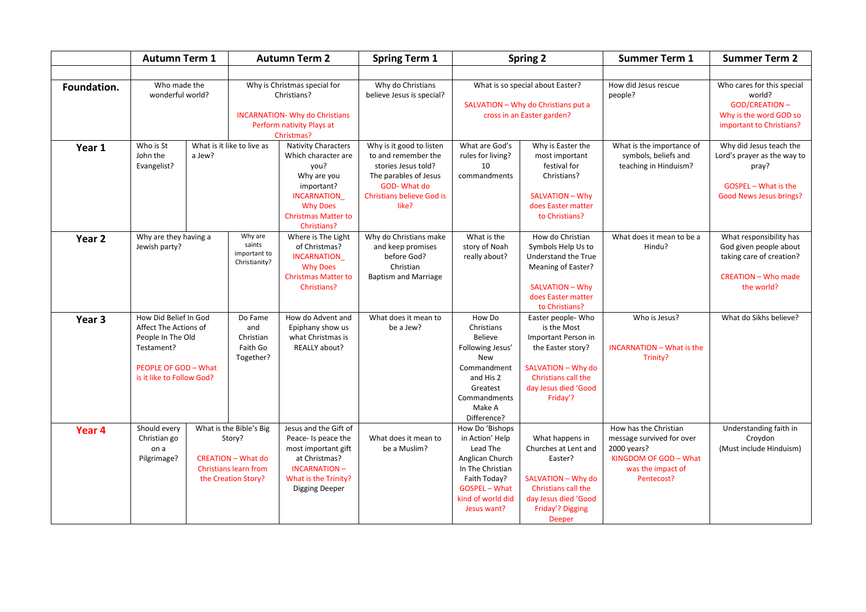|             | <b>Autumn Term 1</b>                                                                                                                          |                                                                                                                       | <b>Autumn Term 2</b>                                                                                                            |                                                                                                                                                                              | <b>Spring Term 1</b>                                                                                                                                        | <b>Spring 2</b>                                                                                                                                                   |                                                                                                                                                                       | <b>Summer Term 1</b>                                                                                                          | <b>Summer Term 2</b>                                                                                                             |
|-------------|-----------------------------------------------------------------------------------------------------------------------------------------------|-----------------------------------------------------------------------------------------------------------------------|---------------------------------------------------------------------------------------------------------------------------------|------------------------------------------------------------------------------------------------------------------------------------------------------------------------------|-------------------------------------------------------------------------------------------------------------------------------------------------------------|-------------------------------------------------------------------------------------------------------------------------------------------------------------------|-----------------------------------------------------------------------------------------------------------------------------------------------------------------------|-------------------------------------------------------------------------------------------------------------------------------|----------------------------------------------------------------------------------------------------------------------------------|
|             |                                                                                                                                               |                                                                                                                       |                                                                                                                                 |                                                                                                                                                                              |                                                                                                                                                             |                                                                                                                                                                   |                                                                                                                                                                       |                                                                                                                               |                                                                                                                                  |
| Foundation. | Who made the<br>wonderful world?                                                                                                              |                                                                                                                       | Why is Christmas special for<br>Christians?<br><b>INCARNATION- Why do Christians</b><br>Perform nativity Plays at<br>Christmas? |                                                                                                                                                                              | Why do Christians<br>believe Jesus is special?                                                                                                              | What is so special about Easter?<br>SALVATION - Why do Christians put a<br>cross in an Easter garden?                                                             |                                                                                                                                                                       | How did Jesus rescue<br>people?                                                                                               | Who cares for this special<br>world?<br><b>GOD/CREATION-</b><br>Why is the word GOD so<br>important to Christians?               |
| Year 1      | Who is St<br>John the<br>Evangelist?                                                                                                          | a Jew?                                                                                                                | What is it like to live as                                                                                                      | <b>Nativity Characters</b><br>Which character are<br>you?<br>Why are you<br>important?<br><b>INCARNATION</b><br><b>Why Does</b><br><b>Christmas Matter to</b><br>Christians? | Why is it good to listen<br>to and remember the<br>stories Jesus told?<br>The parables of Jesus<br>GOD-What do<br><b>Christians believe God is</b><br>like? | What are God's<br>rules for living?<br>10<br>commandments                                                                                                         | Why is Easter the<br>most important<br>festival for<br>Christians?<br>SALVATION - Why<br>does Easter matter<br>to Christians?                                         | What is the importance of<br>symbols, beliefs and<br>teaching in Hinduism?                                                    | Why did Jesus teach the<br>Lord's prayer as the way to<br>pray?<br><b>GOSPEL</b> - What is the<br><b>Good News Jesus brings?</b> |
| Year 2      | Why are they having a<br>Jewish party?                                                                                                        |                                                                                                                       | Why are<br>saints<br>important to<br>Christianity?                                                                              | Where is The Light<br>of Christmas?<br><b>INCARNATION_</b><br><b>Why Does</b><br><b>Christmas Matter to</b><br>Christians?                                                   | Why do Christians make<br>and keep promises<br>before God?<br>Christian<br><b>Baptism and Marriage</b>                                                      | What is the<br>story of Noah<br>really about?                                                                                                                     | How do Christian<br>Symbols Help Us to<br>Understand the True<br>Meaning of Easter?<br>SALVATION - Why<br>does Easter matter<br>to Christians?                        | What does it mean to be a<br>Hindu?                                                                                           | What responsibility has<br>God given people about<br>taking care of creation?<br><b>CREATION - Who made</b><br>the world?        |
| Year 3      | How Did Belief In God<br>Affect The Actions of<br>People In The Old<br>Testament?<br><b>PEOPLE OF GOD - What</b><br>is it like to Follow God? |                                                                                                                       | Do Fame<br>and<br>Christian<br>Faith Go<br>Together?                                                                            | How do Advent and<br>Epiphany show us<br>what Christmas is<br>REALLY about?                                                                                                  | What does it mean to<br>be a Jew?                                                                                                                           | How Do<br>Christians<br><b>Believe</b><br>Following Jesus'<br>New<br>Commandment<br>and His 2<br>Greatest<br>Commandments<br>Make A<br>Difference?                | Easter people- Who<br>is the Most<br>Important Person in<br>the Easter story?<br>SALVATION - Why do<br><b>Christians call the</b><br>day Jesus died 'Good<br>Friday'? | Who is Jesus?<br><b>INCARNATION - What is the</b><br>Trinity?                                                                 | What do Sikhs believe?                                                                                                           |
| Year 4      | Should every<br>Christian go<br>on a<br>Pilgrimage?                                                                                           | What is the Bible's Big<br>Story?<br><b>CREATION - What do</b><br><b>Christians learn from</b><br>the Creation Story? |                                                                                                                                 | Jesus and the Gift of<br>Peace- Is peace the<br>most important gift<br>at Christmas?<br><b>INCARNATION-</b><br>What is the Trinity?<br>Digging Deeper                        | What does it mean to<br>be a Muslim?                                                                                                                        | How Do 'Bishops<br>in Action' Help<br>Lead The<br>Anglican Church<br>In The Christian<br>Faith Today?<br><b>GOSPEL - What</b><br>kind of world did<br>Jesus want? | What happens in<br>Churches at Lent and<br>Easter?<br>SALVATION - Why do<br>Christians call the<br>day Jesus died 'Good<br>Friday'? Digging<br><b>Deeper</b>          | How has the Christian<br>message survived for over<br>2000 years?<br>KINGDOM OF GOD - What<br>was the impact of<br>Pentecost? | Understanding faith in<br>Croydon<br>(Must include Hinduism)                                                                     |